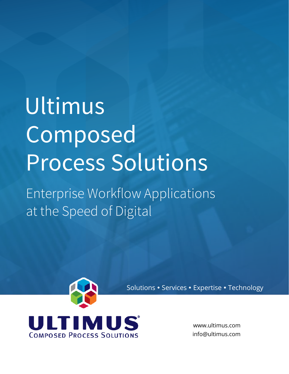# **Ultimus Composed Process Solutions**

**Enterprise Workflow Applications at the Speed of Digital**



Solutions · Services · Expertise · Technology

www.ultimus.com info@ultimus.com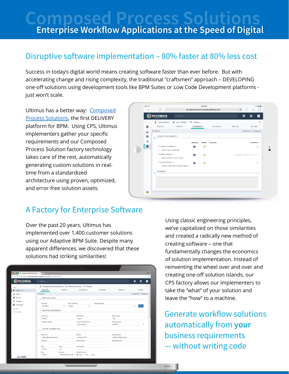# **Composed Process Soluti Enterprise Workflow Applications at the Speed of Digital**

### **Disruptive software implementation – 80% faster at 80% less cost**

Success in today's digital world means creating software faster than ever before. But with accelerating change and rising complexity, the traditional "craftsmen" approach – DEVELOPING one-off solutions using development tools like BPM Suites or Low Code Development platforms just won't scale.

Ultimus has a better way: [Composed](http://www.ultimus.com/bpm-technology/composed-process-solutions/demo)  [Process Solutions,](http://www.ultimus.com/bpm-technology/composed-process-solutions/demo) the first DELIVERY platform for BPM. Using CPS, Ultimus implementers gather your specific requirements and our Composed Process Solution factory technology takes care of the rest, automatically generating custom solutions in realtime from a standardized architecture using proven, optimized, and error-free solution assets.

|               | iPad 学<br>૮                   |                       | m                                                                         |                                                                                                                |                                                                          |                            |                  |               | 3:58 PM               | a cpssolutionsshowcase.ultimus.com       |  |  | $\mathfrak{c}$                      | r۴                |  | <b>* 38%■■</b><br>ד |
|---------------|-------------------------------|-----------------------|---------------------------------------------------------------------------|----------------------------------------------------------------------------------------------------------------|--------------------------------------------------------------------------|----------------------------|------------------|---------------|-----------------------|------------------------------------------|--|--|-------------------------------------|-------------------|--|---------------------|
|               |                               |                       | <b>ULTIMUS</b>                                                            |                                                                                                                | Q Search                                                                 |                            |                  |               |                       |                                          |  |  |                                     | 0                 |  | $\equiv$            |
| $\rightarrow$ | B<br>♤<br>€<br>A<br>$\bullet$ | - Required<br>$\circ$ | <b>B</b> ExpenseReport<br>REQUEST                                         | y Joshua Walker<br>SERVICES<br>REQUEST DOCUMENTS<br>$-$  1 Travel   Car Rental (1)<br>Alamo rental receipt.pdf |                                                                          | P Request<br>Uploaded<br>≏ | <b>DOCUMENTS</b> | Verified<br>0 | DECISIONS<br>Reviewed | PROCESS<br>C Expand all / C Collapse all |  |  | <b>HISTORY</b><br>Comments          | ፧<br>$\bigcirc$ 0 |  |                     |
|               |                               | $\triangleright$      | $-$ 2 Meals   Dinner (1)<br>$=$ 13 Travel   Airfare (1)<br><b>REMARKS</b> |                                                                                                                | Dinner receipts - work trip.pdf<br>Airlines Confirmation and Receipt.pdf |                            | a<br>a           |               | ◎<br>0                |                                          |  |  | Joshua Walker 28 Oct 2016 17:58 C 1 |                   |  | $\circ$             |
|               | å.                            |                       |                                                                           |                                                                                                                |                                                                          |                            |                  |               |                       |                                          |  |  |                                     |                   |  |                     |

## **A Factory for Enterprise Software**

Over the past 20 years, Ultimus has implemented over 1,400 customer solutions using our Adaptive BPM Suite. Despite many apparent differences, we discovered that these solutions had striking similarities!

|                                                                                                        |                             |                                                      | s                                                |                 |                           |                               |            |  |
|--------------------------------------------------------------------------------------------------------|-----------------------------|------------------------------------------------------|--------------------------------------------------|-----------------|---------------------------|-------------------------------|------------|--|
| <b>G</b> Employee Onboarding Advance x<br>o                                                            |                             |                                                      |                                                  |                 |                           |                               | Guest      |  |
| $\leftarrow$ $\rightarrow$ C $\blacksquare$ https://cpssolutionsshowcase.ultimus.com/UltimusWebClient/ |                             |                                                      |                                                  |                 |                           |                               | $\ddot{z}$ |  |
| X                                                                                                      | Q Search                    |                                                      |                                                  |                 |                           | ๏<br>٠                        |            |  |
| <b>ULTIMUS</b>                                                                                         |                             |                                                      |                                                  |                 |                           |                               | $\equiv$   |  |
| <b>TASKS</b>                                                                                           |                             | ■ Employee Onboarding Advanced ★ Walker Allen Joshua | P Request                                        |                 |                           |                               |            |  |
| <b>B</b> Initiate 21                                                                                   | EMPLOYEE                    | SERVICES                                             | <b>DOCUMENTS</b>                                 | DECISIONS       | <b>PROCESS</b>            | <b>HISTORY</b>                |            |  |
| $Q$ Inbox 1                                                                                            | - Required                  |                                                      |                                                  |                 |                           | O Expand all / O Collapse all |            |  |
| <b>图 Oueued</b>                                                                                        | <b>EMPLOYEE SEARCH</b>      |                                                      |                                                  |                 |                           |                               |            |  |
| <br><b>Assigned</b>                                                                                    | ó                           |                                                      |                                                  |                 |                           |                               |            |  |
| Completed                                                                                              | Search By                   |                                                      | Enter Last Name                                  | Select Employee |                           |                               |            |  |
|                                                                                                        | Last Name                   | ٠<br>Walker                                          | C.                                               |                 |                           | ٠<br>New                      |            |  |
| <b>FOLDERS</b>                                                                                         | <b>EMPLOYEE INFORMATION</b> |                                                      |                                                  |                 |                           |                               |            |  |
| APPLICATIONS                                                                                           | ó                           |                                                      |                                                  |                 |                           |                               |            |  |
|                                                                                                        | Last Name                   |                                                      | <b>First Name</b>                                |                 | Middle Name               |                               |            |  |
|                                                                                                        | Walker                      |                                                      | Joshua                                           |                 | Allen                     |                               |            |  |
|                                                                                                        | Employee Number             |                                                      | Social Security Number<br>264-18-3683            |                 | Employee Type<br>Salaried |                               |            |  |
|                                                                                                        |                             |                                                      |                                                  |                 |                           |                               |            |  |
|                                                                                                        | CONTACT INFORMATION<br>ö.   |                                                      |                                                  |                 |                           |                               |            |  |
|                                                                                                        | Address 1                   |                                                      | <b>I</b> Phone                                   |                 | Primary Email             |                               |            |  |
|                                                                                                        | 1656 Edgewood Avenue        |                                                      | 555-263-3186                                     |                 | Jwalker77@gmail.com       |                               |            |  |
|                                                                                                        | Address 2                   |                                                      | Mobile Phone                                     |                 | Secondary Email           |                               |            |  |
|                                                                                                        |                             |                                                      |                                                  |                 |                           |                               |            |  |
|                                                                                                        | <b>City</b>                 | State                                                | Other Phone                                      |                 |                           |                               |            |  |
|                                                                                                        | Fresno                      | CA                                                   |                                                  |                 |                           |                               |            |  |
|                                                                                                        | Zip                         | Country                                              | Prefered Contact                                 |                 |                           |                               |            |  |
| <b>SULTIMUS</b>                                                                                        | 93721                       | United States Minor ¢                                | $\bullet$ Email $\bigcirc$ Mail $\bigcirc$ Phone |                 |                           |                               |            |  |

Using classic engineering principles, we've capitalized on those similarities and created a radically new method of creating software – one that fundamentally changes the economics of solution implementation. Instead of reinventing the wheel over and over and creating one-off solution islands, our CPS factory allows our implementers to take the "what" of your solution and leave the "how" to a machine.

**Generate workflow solutions automatically from your business requirements — without writing code**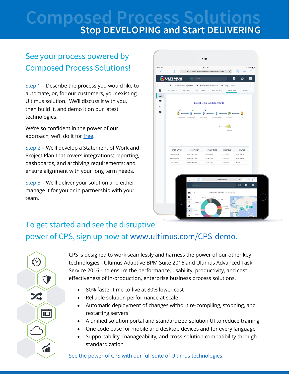# **Composed Process Solutions**<br>Stop DEVELOPING and Start DELIVERING

# **See your process powered by Composed Process Solutions!**

Step 1 – Describe the process you would like to automate, or, for our customers, your existing Ultimus solution. We'll discuss it with you, then build it, and demo it on our latest technologies.

We're so confident in the power of our approach, we'll do it for [free.](http://www.ultimus.com/bpm-technology/composed-process-solutions/demo)

Step 2 – We'll develop a Statement of Work and Project Plan that covers integrations; reporting, dashboards, and archiving requirements; and ensure alignment with your long term needs.

Step 3 – We'll deliver your solution and either manage it for you or in partnership with your team.

 $\bigodot$ 

24

**T** 

 $\overline{\blacksquare}$ 

 $\widetilde{d}$ 



## **To get started and see the disruptive power of CPS, sign up now at [www.ultimus.com/CPS-demo.](http://www.ultimus.com/CPS-demo)**

CPS is designed to work seamlessly and harness the power of our other key technologies - Ultimus Adaptive BPM Suite 2016 and Ultimus Advanced Task Service 2016 – to ensure the performance, usability, productivity, and cost effectiveness of in-production, enterprise business process solutions.

- 80% faster time-to-live at 80% lower cost
- Reliable solution performance at scale
- Automatic deployment of changes without re-compiling, stopping, and restarting servers
- A unified solution portal and standardized solution UI to reduce training
- One code base for mobile and desktop devices and for every language
- Supportability, manageability, and cross-solution compatibility through standardization

See the power of CPS with [our full suite of Ultimus technologies.](http://www.ultimus.com/bpm-technology/composed-process-solutions/demo)